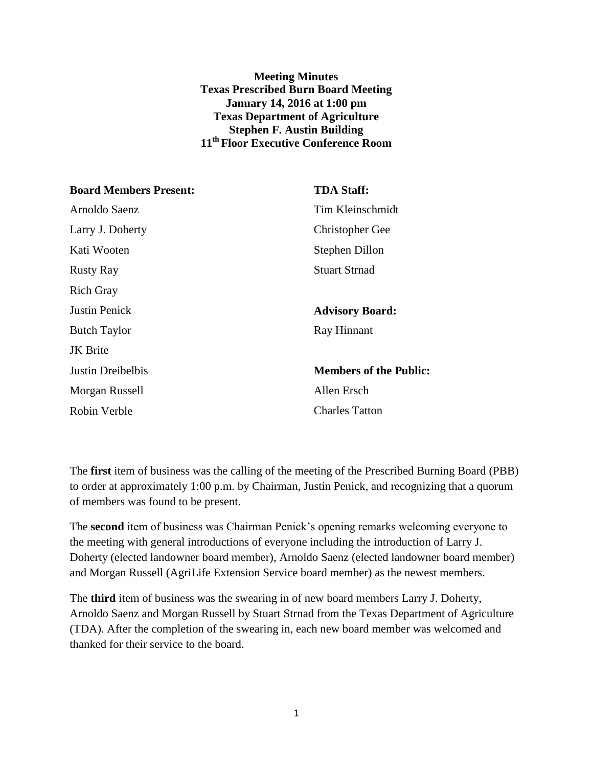## **Meeting Minutes Texas Prescribed Burn Board Meeting January 14, 2016 at 1:00 pm Texas Department of Agriculture Stephen F. Austin Building 11th Floor Executive Conference Room**

| <b>Board Members Present:</b> | <b>TDA Staff:</b>             |
|-------------------------------|-------------------------------|
| Arnoldo Saenz                 | Tim Kleinschmidt              |
| Larry J. Doherty              | <b>Christopher Gee</b>        |
| Kati Wooten                   | Stephen Dillon                |
| <b>Rusty Ray</b>              | <b>Stuart Strnad</b>          |
| <b>Rich Gray</b>              |                               |
| <b>Justin Penick</b>          | <b>Advisory Board:</b>        |
| <b>Butch Taylor</b>           | Ray Hinnant                   |
| <b>JK</b> Brite               |                               |
| Justin Dreibelbis             | <b>Members of the Public:</b> |
| Morgan Russell                | Allen Ersch                   |
| Robin Verble                  | <b>Charles Tatton</b>         |

The **first** item of business was the calling of the meeting of the Prescribed Burning Board (PBB) to order at approximately 1:00 p.m. by Chairman, Justin Penick, and recognizing that a quorum of members was found to be present.

The **second** item of business was Chairman Penick's opening remarks welcoming everyone to the meeting with general introductions of everyone including the introduction of Larry J. Doherty (elected landowner board member), Arnoldo Saenz (elected landowner board member) and Morgan Russell (AgriLife Extension Service board member) as the newest members.

The **third** item of business was the swearing in of new board members Larry J. Doherty, Arnoldo Saenz and Morgan Russell by Stuart Strnad from the Texas Department of Agriculture (TDA). After the completion of the swearing in, each new board member was welcomed and thanked for their service to the board.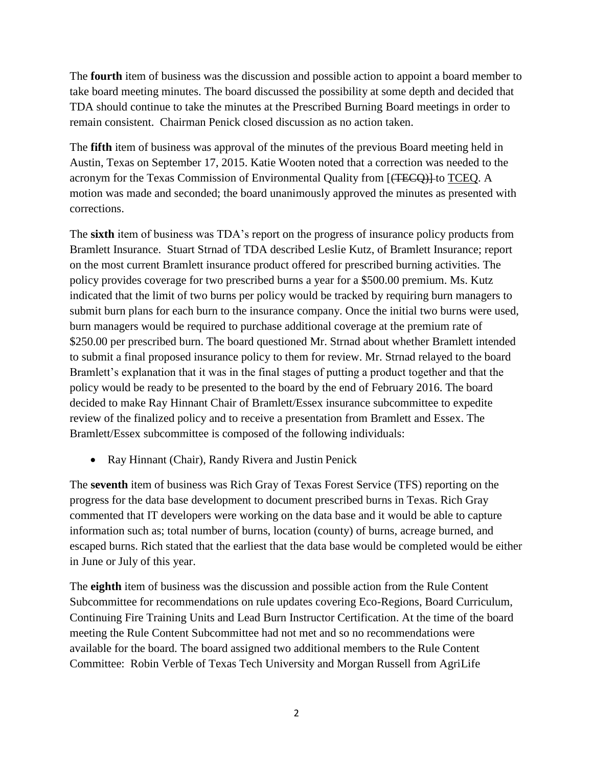The **fourth** item of business was the discussion and possible action to appoint a board member to take board meeting minutes. The board discussed the possibility at some depth and decided that TDA should continue to take the minutes at the Prescribed Burning Board meetings in order to remain consistent. Chairman Penick closed discussion as no action taken.

The **fifth** item of business was approval of the minutes of the previous Board meeting held in Austin, Texas on September 17, 2015. Katie Wooten noted that a correction was needed to the acronym for the Texas Commission of Environmental Quality from [(TECQ)] to TCEQ. A motion was made and seconded; the board unanimously approved the minutes as presented with corrections.

The **sixth** item of business was TDA's report on the progress of insurance policy products from Bramlett Insurance. Stuart Strnad of TDA described Leslie Kutz, of Bramlett Insurance; report on the most current Bramlett insurance product offered for prescribed burning activities. The policy provides coverage for two prescribed burns a year for a \$500.00 premium. Ms. Kutz indicated that the limit of two burns per policy would be tracked by requiring burn managers to submit burn plans for each burn to the insurance company. Once the initial two burns were used, burn managers would be required to purchase additional coverage at the premium rate of \$250.00 per prescribed burn. The board questioned Mr. Strnad about whether Bramlett intended to submit a final proposed insurance policy to them for review. Mr. Strnad relayed to the board Bramlett's explanation that it was in the final stages of putting a product together and that the policy would be ready to be presented to the board by the end of February 2016. The board decided to make Ray Hinnant Chair of Bramlett/Essex insurance subcommittee to expedite review of the finalized policy and to receive a presentation from Bramlett and Essex. The Bramlett/Essex subcommittee is composed of the following individuals:

• Ray Hinnant (Chair), Randy Rivera and Justin Penick

The **seventh** item of business was Rich Gray of Texas Forest Service (TFS) reporting on the progress for the data base development to document prescribed burns in Texas. Rich Gray commented that IT developers were working on the data base and it would be able to capture information such as; total number of burns, location (county) of burns, acreage burned, and escaped burns. Rich stated that the earliest that the data base would be completed would be either in June or July of this year.

The **eighth** item of business was the discussion and possible action from the Rule Content Subcommittee for recommendations on rule updates covering Eco-Regions, Board Curriculum, Continuing Fire Training Units and Lead Burn Instructor Certification. At the time of the board meeting the Rule Content Subcommittee had not met and so no recommendations were available for the board. The board assigned two additional members to the Rule Content Committee: Robin Verble of Texas Tech University and Morgan Russell from AgriLife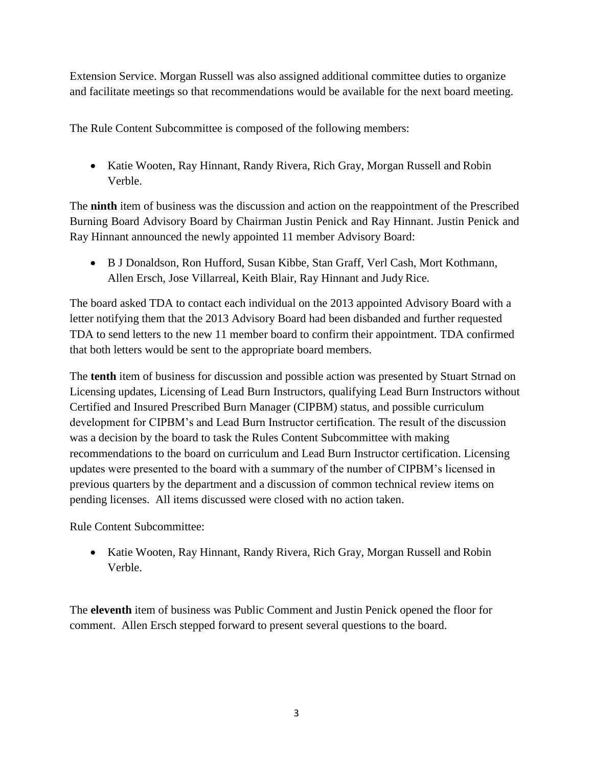Extension Service. Morgan Russell was also assigned additional committee duties to organize and facilitate meetings so that recommendations would be available for the next board meeting.

The Rule Content Subcommittee is composed of the following members:

• Katie Wooten, Ray Hinnant, Randy Rivera, Rich Gray, Morgan Russell and Robin Verble.

The **ninth** item of business was the discussion and action on the reappointment of the Prescribed Burning Board Advisory Board by Chairman Justin Penick and Ray Hinnant. Justin Penick and Ray Hinnant announced the newly appointed 11 member Advisory Board:

 B J Donaldson, Ron Hufford, Susan Kibbe, Stan Graff, Verl Cash, Mort Kothmann, Allen Ersch, Jose Villarreal, Keith Blair, Ray Hinnant and Judy Rice.

The board asked TDA to contact each individual on the 2013 appointed Advisory Board with a letter notifying them that the 2013 Advisory Board had been disbanded and further requested TDA to send letters to the new 11 member board to confirm their appointment. TDA confirmed that both letters would be sent to the appropriate board members.

The **tenth** item of business for discussion and possible action was presented by Stuart Strnad on Licensing updates, Licensing of Lead Burn Instructors, qualifying Lead Burn Instructors without Certified and Insured Prescribed Burn Manager (CIPBM) status, and possible curriculum development for CIPBM's and Lead Burn Instructor certification. The result of the discussion was a decision by the board to task the Rules Content Subcommittee with making recommendations to the board on curriculum and Lead Burn Instructor certification. Licensing updates were presented to the board with a summary of the number of CIPBM's licensed in previous quarters by the department and a discussion of common technical review items on pending licenses. All items discussed were closed with no action taken.

Rule Content Subcommittee:

 Katie Wooten, Ray Hinnant, Randy Rivera, Rich Gray, Morgan Russell and Robin Verble.

The **eleventh** item of business was Public Comment and Justin Penick opened the floor for comment. Allen Ersch stepped forward to present several questions to the board.